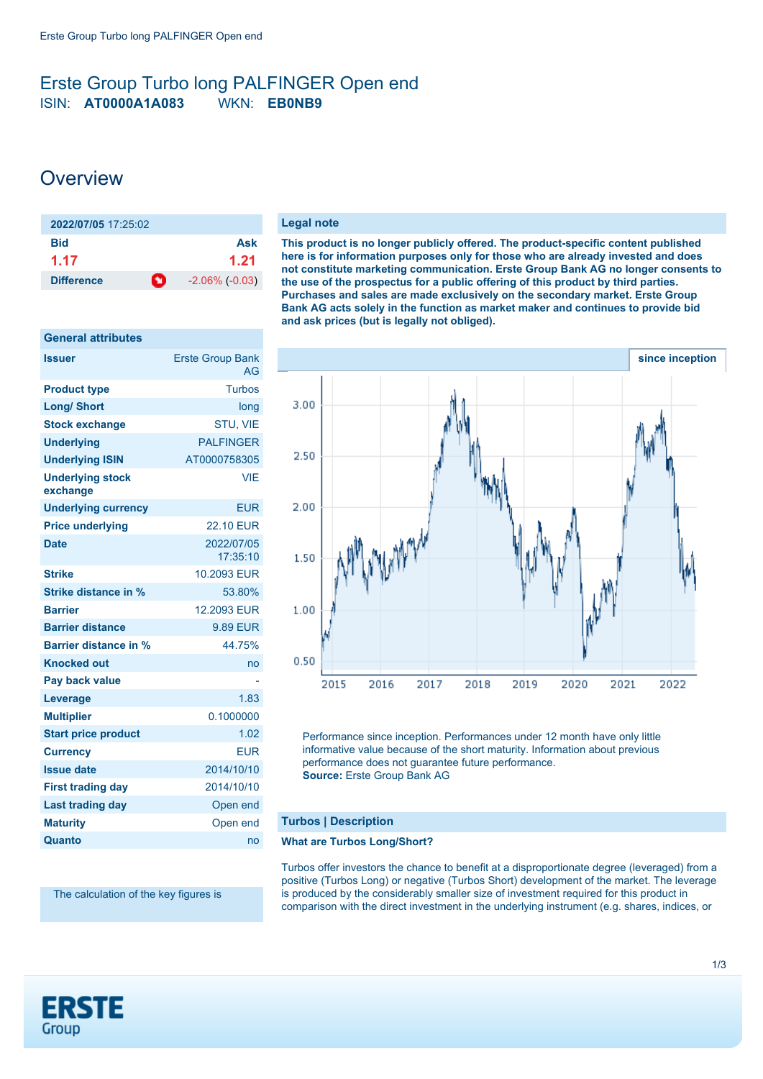# <span id="page-0-0"></span>Erste Group Turbo long PALFINGER Open end ISIN: **AT0000A1A083** WKN: **EB0NB9**

# **Overview**

| $2022/07/05$ 17:25:02          |                       |
|--------------------------------|-----------------------|
| Bid                            | Ask                   |
| 1.17                           | 1.21                  |
| $\bullet$<br><b>Difference</b> | $-2.06\%$ ( $-0.03$ ) |

| <b>General attributes</b>           |                                      |
|-------------------------------------|--------------------------------------|
| <b>Issuer</b>                       | <b>Erste Group Bank</b><br><b>AG</b> |
| <b>Product type</b>                 | <b>Turbos</b>                        |
| <b>Long/ Short</b>                  | long                                 |
| <b>Stock exchange</b>               | <b>STU, VIE</b>                      |
| <b>Underlying</b>                   | <b>PALFINGER</b>                     |
| <b>Underlying ISIN</b>              | AT0000758305                         |
| <b>Underlying stock</b><br>exchange | <b>VIE</b>                           |
| <b>Underlying currency</b>          | <b>EUR</b>                           |
| <b>Price underlying</b>             | <b>22.10 EUR</b>                     |
| <b>Date</b>                         | 2022/07/05<br>17:35:10               |
| <b>Strike</b>                       | 10.2093 EUR                          |
| Strike distance in %                | 53.80%                               |
| <b>Barrier</b>                      | 12.2093 EUR                          |
| <b>Barrier distance</b>             | <b>9.89 EUR</b>                      |
| <b>Barrier distance in %</b>        | 44.75%                               |
| <b>Knocked out</b>                  | no                                   |
| Pay back value                      |                                      |
| Leverage                            | 1.83                                 |
| <b>Multiplier</b>                   | 0.1000000                            |
| <b>Start price product</b>          | 1.02                                 |
| <b>Currency</b>                     | <b>EUR</b>                           |
| <b>Issue date</b>                   | 2014/10/10                           |
| <b>First trading day</b>            | 2014/10/10                           |
| <b>Last trading day</b>             | Open end                             |
| <b>Maturity</b>                     | Open end                             |
| Quanto                              | no                                   |

The calculation of the key figures is

#### **Legal note**

**This product is no longer publicly offered. The product-specific content published here is for information purposes only for those who are already invested and does not constitute marketing communication. Erste Group Bank AG no longer consents to the use of the prospectus for a public offering of this product by third parties. Purchases and sales are made exclusively on the secondary market. Erste Group Bank AG acts solely in the function as market maker and continues to provide bid and ask prices (but is legally not obliged).**



Performance since inception. Performances under 12 month have only little informative value because of the short maturity. Information about previous performance does not guarantee future performance. **Source:** Erste Group Bank AG

## **Turbos | Description**

### **What are Turbos Long/Short?**

Turbos offer investors the chance to benefit at a disproportionate degree (leveraged) from a positive (Turbos Long) or negative (Turbos Short) development of the market. The leverage is produced by the considerably smaller size of investment required for this product in comparison with the direct investment in the underlying instrument (e.g. shares, indices, or

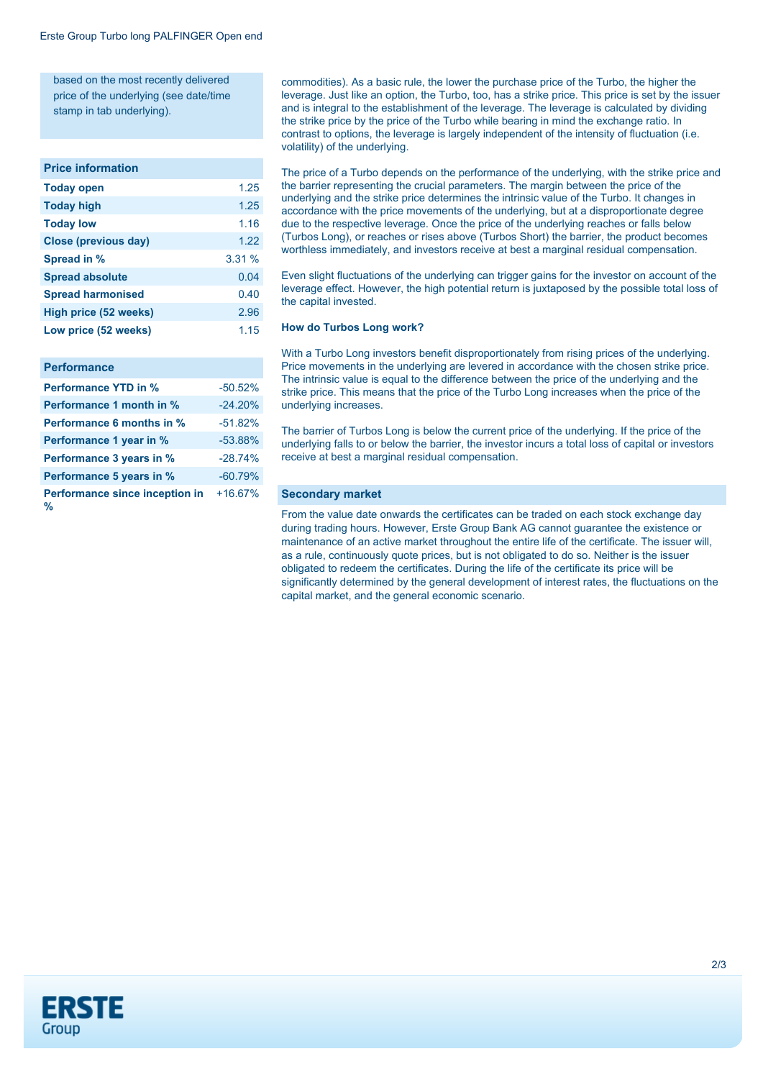based on the most recently delivered price of the underlying (see date/time stamp in tab underlying).

#### **Price information**

| <b>Today open</b>           | 1.25  |
|-----------------------------|-------|
| <b>Today high</b>           | 1.25  |
| <b>Today low</b>            | 1.16  |
| <b>Close (previous day)</b> | 1.22  |
| Spread in %                 | 3.31% |
| <b>Spread absolute</b>      | 0.04  |
| <b>Spread harmonised</b>    | 0.40  |
| High price (52 weeks)       | 2.96  |
| Low price (52 weeks)        | 1.15  |
|                             |       |

#### **Performance**

| <b>Performance YTD in %</b>         | $-50.52%$ |
|-------------------------------------|-----------|
| <b>Performance 1 month in %</b>     | $-24.20%$ |
| <b>Performance 6 months in %</b>    | $-51.82%$ |
| Performance 1 year in %             | $-53.88%$ |
| Performance 3 years in %            | $-28.74%$ |
| Performance 5 years in %            | $-60.79%$ |
| Performance since inception in<br>% | $+16.67%$ |

commodities). As a basic rule, the lower the purchase price of the Turbo, the higher the leverage. Just like an option, the Turbo, too, has a strike price. This price is set by the issuer and is integral to the establishment of the leverage. The leverage is calculated by dividing the strike price by the price of the Turbo while bearing in mind the exchange ratio. In contrast to options, the leverage is largely independent of the intensity of fluctuation (i.e. volatility) of the underlying.

The price of a Turbo depends on the performance of the underlying, with the strike price and the barrier representing the crucial parameters. The margin between the price of the underlying and the strike price determines the intrinsic value of the Turbo. It changes in accordance with the price movements of the underlying, but at a disproportionate degree due to the respective leverage. Once the price of the underlying reaches or falls below (Turbos Long), or reaches or rises above (Turbos Short) the barrier, the product becomes worthless immediately, and investors receive at best a marginal residual compensation.

Even slight fluctuations of the underlying can trigger gains for the investor on account of the leverage effect. However, the high potential return is juxtaposed by the possible total loss of the capital invested.

#### **How do Turbos Long work?**

With a Turbo Long investors benefit disproportionately from rising prices of the underlying. Price movements in the underlying are levered in accordance with the chosen strike price. The intrinsic value is equal to the difference between the price of the underlying and the strike price. This means that the price of the Turbo Long increases when the price of the underlying increases.

The barrier of Turbos Long is below the current price of the underlying. If the price of the underlying falls to or below the barrier, the investor incurs a total loss of capital or investors receive at best a marginal residual compensation.

#### **Secondary market**

From the value date onwards the certificates can be traded on each stock exchange day during trading hours. However, Erste Group Bank AG cannot guarantee the existence or maintenance of an active market throughout the entire life of the certificate. The issuer will, as a rule, continuously quote prices, but is not obligated to do so. Neither is the issuer obligated to redeem the certificates. During the life of the certificate its price will be significantly determined by the general development of interest rates, the fluctuations on the capital market, and the general economic scenario.